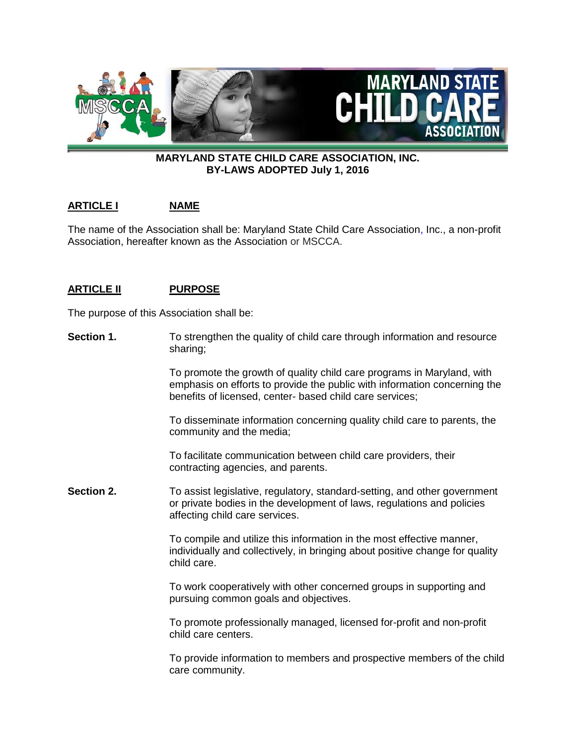

# **MARYLAND STATE CHILD CARE ASSOCIATION, INC. BY-LAWS ADOPTED July 1, 2016**

# **ARTICLE I NAME**

The name of the Association shall be: Maryland State Child Care Association, Inc., a non-profit Association, hereafter known as the Association or MSCCA.

# **ARTICLE II PURPOSE**

The purpose of this Association shall be:

**Section 1.** To strengthen the quality of child care through information and resource sharing;

> To promote the growth of quality child care programs in Maryland, with emphasis on efforts to provide the public with information concerning the benefits of licensed, center- based child care services;

To disseminate information concerning quality child care to parents, the community and the media;

To facilitate communication between child care providers, their contracting agencies, and parents.

**Section 2.** To assist legislative, regulatory, standard-setting, and other government or private bodies in the development of laws, regulations and policies affecting child care services.

> To compile and utilize this information in the most effective manner, individually and collectively, in bringing about positive change for quality child care.

To work cooperatively with other concerned groups in supporting and pursuing common goals and objectives.

To promote professionally managed, licensed for-profit and non-profit child care centers.

To provide information to members and prospective members of the child care community.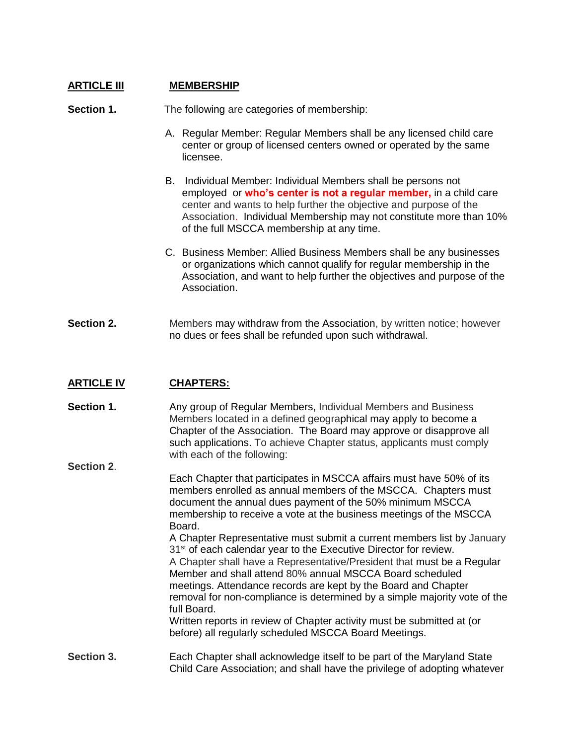# **ARTICLE III MEMBERSHIP**

**Section 1.** The following are categories of membership:

- A. Regular Member: Regular Members shall be any licensed child care center or group of licensed centers owned or operated by the same licensee.
- B. Individual Member: Individual Members shall be persons not employed or **who's center is not a regular member,** in a child care center and wants to help further the objective and purpose of the Association. Individual Membership may not constitute more than 10% of the full MSCCA membership at any time.
- C. Business Member: Allied Business Members shall be any businesses or organizations which cannot qualify for regular membership in the Association, and want to help further the objectives and purpose of the Association.
- **Section 2.** Members may withdraw from the Association, by written notice; however no dues or fees shall be refunded upon such withdrawal.

# **ARTICLE IV CHAPTERS:**

**Section 1.** Any group of Regular Members, Individual Members and Business Members located in a defined geographical may apply to become a Chapter of the Association. The Board may approve or disapprove all such applications. To achieve Chapter status, applicants must comply with each of the following:

**Section 2**. Each Chapter that participates in MSCCA affairs must have 50% of its members enrolled as annual members of the MSCCA. Chapters must document the annual dues payment of the 50% minimum MSCCA membership to receive a vote at the business meetings of the MSCCA Board. A Chapter Representative must submit a current members list by January 31<sup>st</sup> of each calendar year to the Executive Director for review. A Chapter shall have a Representative/President that must be a Regular Member and shall attend 80% annual MSCCA Board scheduled meetings. Attendance records are kept by the Board and Chapter removal for non-compliance is determined by a simple majority vote of the full Board. Written reports in review of Chapter activity must be submitted at (or before) all regularly scheduled MSCCA Board Meetings. **Section 3.** Each Chapter shall acknowledge itself to be part of the Maryland State

Child Care Association; and shall have the privilege of adopting whatever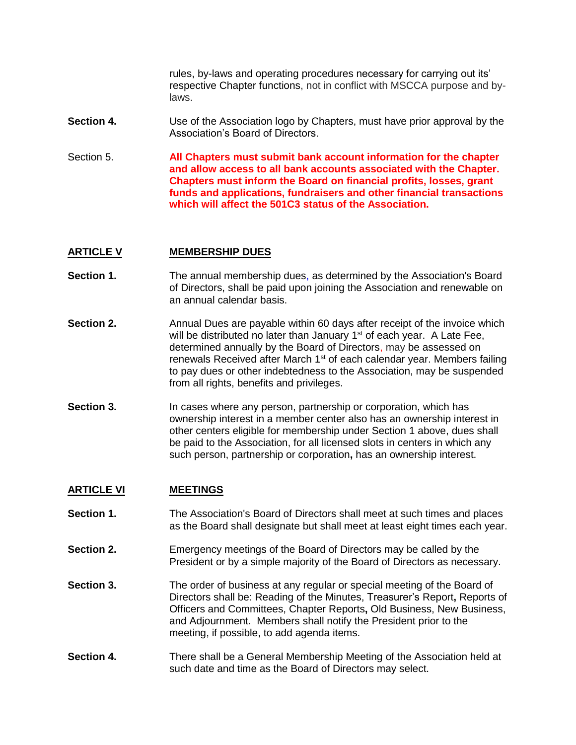rules, by-laws and operating procedures necessary for carrying out its' respective Chapter functions, not in conflict with MSCCA purpose and bylaws.

- **Section 4.** Use of the Association logo by Chapters, must have prior approval by the Association's Board of Directors.
- Section 5. **All Chapters must submit bank account information for the chapter and allow access to all bank accounts associated with the Chapter. Chapters must inform the Board on financial profits, losses, grant funds and applications, fundraisers and other financial transactions which will affect the 501C3 status of the Association.**

# **ARTICLE V MEMBERSHIP DUES**

- **Section 1.** The annual membership dues, as determined by the Association's Board of Directors, shall be paid upon joining the Association and renewable on an annual calendar basis.
- **Section 2.** Annual Dues are payable within 60 days after receipt of the invoice which will be distributed no later than January 1<sup>st</sup> of each year. A Late Fee, determined annually by the Board of Directors, may be assessed on renewals Received after March 1<sup>st</sup> of each calendar year. Members failing to pay dues or other indebtedness to the Association, may be suspended from all rights, benefits and privileges.
- **Section 3.** In cases where any person, partnership or corporation, which has ownership interest in a member center also has an ownership interest in other centers eligible for membership under Section 1 above, dues shall be paid to the Association, for all licensed slots in centers in which any such person, partnership or corporation**,** has an ownership interest.

# **ARTICLE VI MEETINGS**

- **Section 1.** The Association's Board of Directors shall meet at such times and places as the Board shall designate but shall meet at least eight times each year.
- **Section 2.** Emergency meetings of the Board of Directors may be called by the President or by a simple majority of the Board of Directors as necessary.
- **Section 3.** The order of business at any regular or special meeting of the Board of Directors shall be: Reading of the Minutes, Treasurer's Report**,** Reports of Officers and Committees, Chapter Reports**,** Old Business, New Business, and Adjournment. Members shall notify the President prior to the meeting, if possible, to add agenda items.
- **Section 4.** There shall be a General Membership Meeting of the Association held at such date and time as the Board of Directors may select.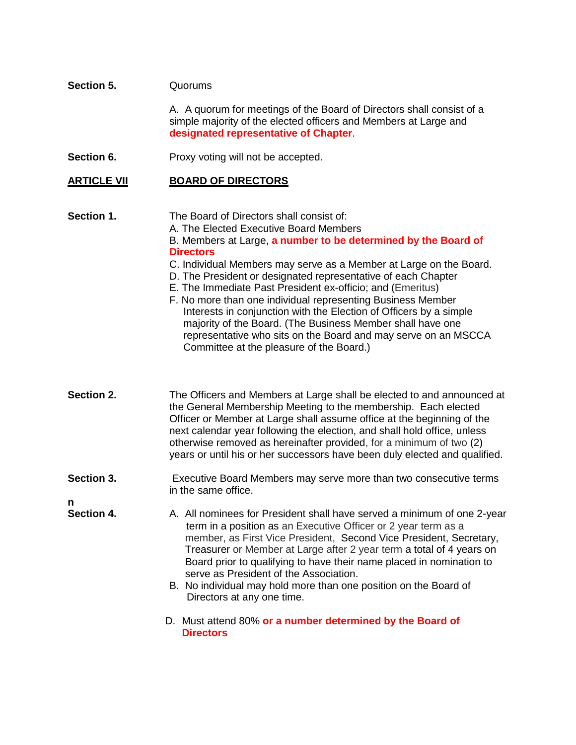# **Section 5.** Quorums

A. A quorum for meetings of the Board of Directors shall consist of a simple majority of the elected officers and Members at Large and **designated representative of Chapter**.

**Section 6.** Proxy voting will not be accepted.

### **ARTICLE VII BOARD OF DIRECTORS**

**Section 1.** The Board of Directors shall consist of: A. The Elected Executive Board Members B. Members at Large, **a number to be determined by the Board of Directors** C. Individual Members may serve as a Member at Large on the Board. D. The President or designated representative of each Chapter

- E. The Immediate Past President ex-officio; and (Emeritus)
- F. No more than one individual representing Business Member Interests in conjunction with the Election of Officers by a simple majority of the Board. (The Business Member shall have one representative who sits on the Board and may serve on an MSCCA Committee at the pleasure of the Board.)
- **Section 2.** The Officers and Members at Large shall be elected to and announced at the General Membership Meeting to the membership. Each elected Officer or Member at Large shall assume office at the beginning of the next calendar year following the election, and shall hold office, unless otherwise removed as hereinafter provided, for a minimum of two (2) years or until his or her successors have been duly elected and qualified.
- **Section 3.** Executive Board Members may serve more than two consecutive terms in the same office.

**n**

- **Section 4.** A. All nominees for President shall have served a minimum of one 2-year term in a position as an Executive Officer or 2 year term as a member, as First Vice President, Second Vice President, Secretary, Treasurer or Member at Large after 2 year term a total of 4 years on Board prior to qualifying to have their name placed in nomination to serve as President of the Association.
	- B. No individual may hold more than one position on the Board of Directors at any one time.
	- D. Must attend 80% **or a number determined by the Board of Directors**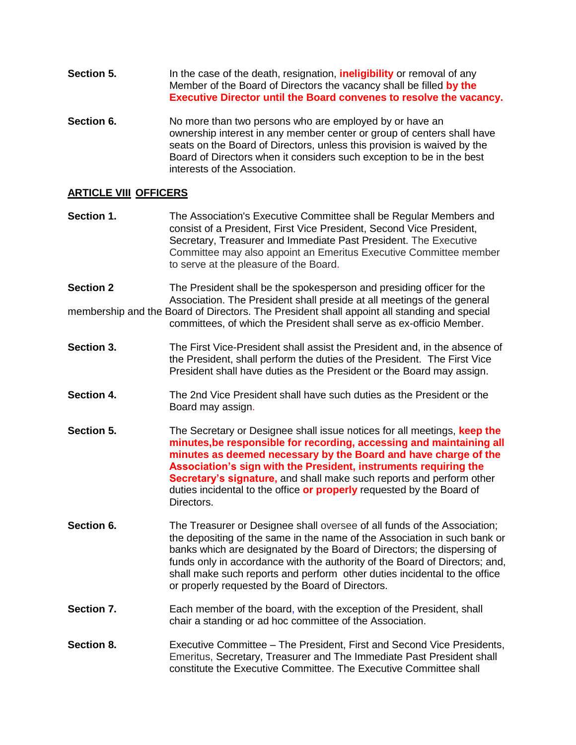- **Section 5.** In the case of the death, resignation, **ineligibility** or removal of any Member of the Board of Directors the vacancy shall be filled **by the Executive Director until the Board convenes to resolve the vacancy.**
- **Section 6.** No more than two persons who are employed by or have an ownership interest in any member center or group of centers shall have seats on the Board of Directors, unless this provision is waived by the Board of Directors when it considers such exception to be in the best interests of the Association.

# **ARTICLE VIII OFFICERS**

- **Section 1.** The Association's Executive Committee shall be Regular Members and consist of a President, First Vice President, Second Vice President, Secretary, Treasurer and Immediate Past President. The Executive Committee may also appoint an Emeritus Executive Committee member to serve at the pleasure of the Board.
- **Section 2** The President shall be the spokesperson and presiding officer for the Association. The President shall preside at all meetings of the general membership and the Board of Directors. The President shall appoint all standing and special committees, of which the President shall serve as ex-officio Member.
- **Section 3.** The First Vice-President shall assist the President and, in the absence of the President, shall perform the duties of the President. The First Vice President shall have duties as the President or the Board may assign.
- **Section 4.** The 2nd Vice President shall have such duties as the President or the Board may assign.
- **Section 5.** The Secretary or Designee shall issue notices for all meetings, **keep the minutes,be responsible for recording, accessing and maintaining all minutes as deemed necessary by the Board and have charge of the Association's sign with the President, instruments requiring the Secretary's signature,** and shall make such reports and perform other duties incidental to the office **or properly** requested by the Board of Directors.
- **Section 6.** The Treasurer or Designee shall oversee of all funds of the Association; the depositing of the same in the name of the Association in such bank or banks which are designated by the Board of Directors; the dispersing of funds only in accordance with the authority of the Board of Directors; and, shall make such reports and perform other duties incidental to the office or properly requested by the Board of Directors.
- **Section 7.** Each member of the board, with the exception of the President, shall chair a standing or ad hoc committee of the Association.
- **Section 8.** Executive Committee The President, First and Second Vice Presidents, Emeritus, Secretary, Treasurer and The Immediate Past President shall constitute the Executive Committee. The Executive Committee shall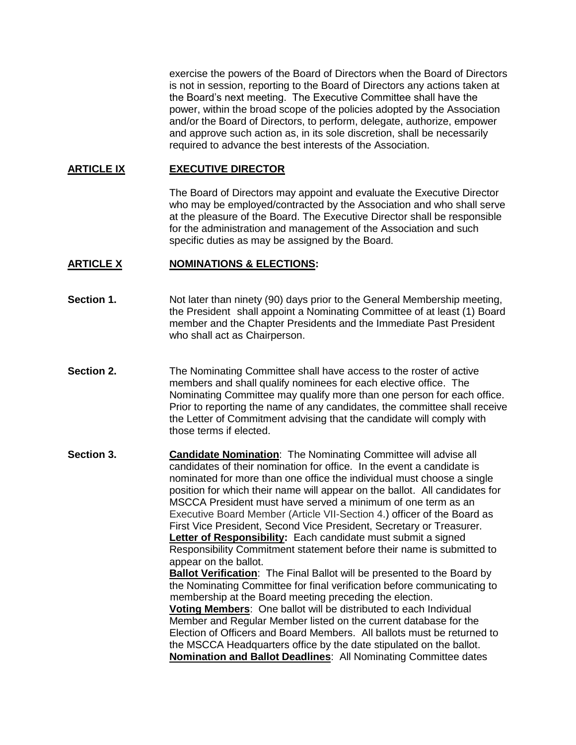exercise the powers of the Board of Directors when the Board of Directors is not in session, reporting to the Board of Directors any actions taken at the Board's next meeting. The Executive Committee shall have the power, within the broad scope of the policies adopted by the Association and/or the Board of Directors, to perform, delegate, authorize, empower and approve such action as, in its sole discretion, shall be necessarily required to advance the best interests of the Association.

### **ARTICLE IX EXECUTIVE DIRECTOR**

The Board of Directors may appoint and evaluate the Executive Director who may be employed/contracted by the Association and who shall serve at the pleasure of the Board. The Executive Director shall be responsible for the administration and management of the Association and such specific duties as may be assigned by the Board.

#### **ARTICLE X NOMINATIONS & ELECTIONS:**

- **Section 1.** Not later than ninety (90) days prior to the General Membership meeting, the President shall appoint a Nominating Committee of at least (1) Board member and the Chapter Presidents and the Immediate Past President who shall act as Chairperson.
- **Section 2.** The Nominating Committee shall have access to the roster of active members and shall qualify nominees for each elective office. The Nominating Committee may qualify more than one person for each office. Prior to reporting the name of any candidates, the committee shall receive the Letter of Commitment advising that the candidate will comply with those terms if elected.
- **Section 3. Candidate Nomination:** The Nominating Committee will advise all candidates of their nomination for office. In the event a candidate is nominated for more than one office the individual must choose a single position for which their name will appear on the ballot. All candidates for MSCCA President must have served a minimum of one term as an Executive Board Member (Article VII-Section 4.) officer of the Board as First Vice President, Second Vice President, Secretary or Treasurer. **Letter of Responsibility:** Each candidate must submit a signed Responsibility Commitment statement before their name is submitted to appear on the ballot. **Ballot Verification**: The Final Ballot will be presented to the Board by the Nominating Committee for final verification before communicating to membership at the Board meeting preceding the election. **Voting Members**: One ballot will be distributed to each Individual

Member and Regular Member listed on the current database for the Election of Officers and Board Members. All ballots must be returned to the MSCCA Headquarters office by the date stipulated on the ballot. **Nomination and Ballot Deadlines**: All Nominating Committee dates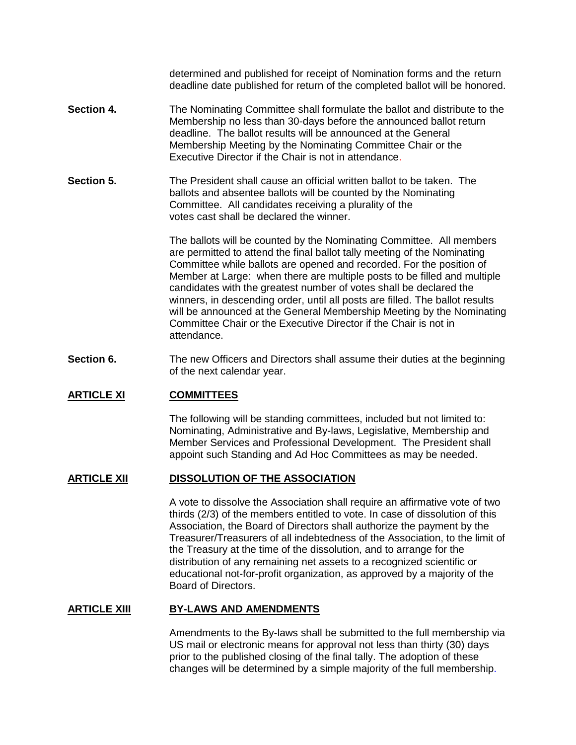determined and published for receipt of Nomination forms and the return deadline date published for return of the completed ballot will be honored.

- **Section 4.** The Nominating Committee shall formulate the ballot and distribute to the Membership no less than 30-days before the announced ballot return deadline. The ballot results will be announced at the General Membership Meeting by the Nominating Committee Chair or the Executive Director if the Chair is not in attendance.
- **Section 5.** The President shall cause an official written ballot to be taken. The ballots and absentee ballots will be counted by the Nominating Committee. All candidates receiving a plurality of the votes cast shall be declared the winner.

The ballots will be counted by the Nominating Committee. All members are permitted to attend the final ballot tally meeting of the Nominating Committee while ballots are opened and recorded. For the position of Member at Large: when there are multiple posts to be filled and multiple candidates with the greatest number of votes shall be declared the winners, in descending order, until all posts are filled. The ballot results will be announced at the General Membership Meeting by the Nominating Committee Chair or the Executive Director if the Chair is not in attendance.

**Section 6.** The new Officers and Directors shall assume their duties at the beginning of the next calendar year.

#### **ARTICLE XI COMMITTEES**

The following will be standing committees, included but not limited to: Nominating, Administrative and By-laws, Legislative, Membership and Member Services and Professional Development.The President shall appoint such Standing and Ad Hoc Committees as may be needed.

#### **ARTICLE XII DISSOLUTION OF THE ASSOCIATION**

A vote to dissolve the Association shall require an affirmative vote of two thirds (2/3) of the members entitled to vote. In case of dissolution of this Association, the Board of Directors shall authorize the payment by the Treasurer/Treasurers of all indebtedness of the Association, to the limit of the Treasury at the time of the dissolution, and to arrange for the distribution of any remaining net assets to a recognized scientific or educational not-for-profit organization, as approved by a majority of the Board of Directors.

#### **ARTICLE XIII BY-LAWS AND AMENDMENTS**

Amendments to the By-laws shall be submitted to the full membership via US mail or electronic means for approval not less than thirty (30) days prior to the published closing of the final tally. The adoption of these changes will be determined by a simple majority of the full membership.